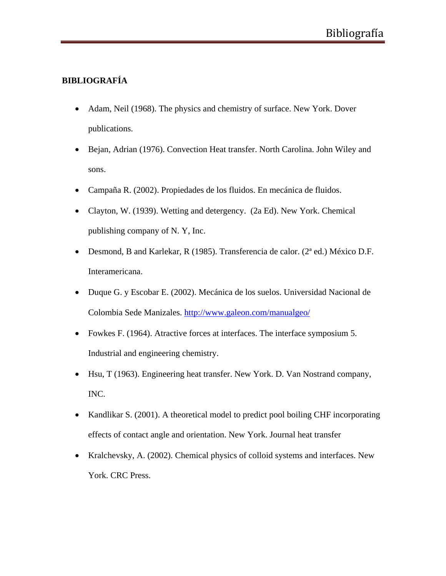## **BIBLIOGRAFÍA**

- Adam, Neil (1968). The physics and chemistry of surface. New York. Dover publications.
- Bejan, Adrian (1976). Convection Heat transfer. North Carolina. John Wiley and sons.
- Campaña R. (2002). Propiedades de los fluidos. En mecánica de fluidos.
- Clayton, W. (1939). Wetting and detergency. (2a Ed). New York. Chemical publishing company of N. Y, Inc.
- Desmond, B and Karlekar, R (1985). Transferencia de calor. (2<sup>ª</sup> ed.) México D.F. Interamericana.
- Duque G. y Escobar E. (2002). Mecánica de los suelos. Universidad Nacional de Colombia Sede Manizales. http://www.galeon.com/manualgeo/
- Fowkes F. (1964). Atractive forces at interfaces. The interface symposium 5. Industrial and engineering chemistry.
- Hsu, T (1963). Engineering heat transfer. New York. D. Van Nostrand company, INC.
- Kandlikar S. (2001). A theoretical model to predict pool boiling CHF incorporating effects of contact angle and orientation. New York. Journal heat transfer
- Kralchevsky, A. (2002). Chemical physics of colloid systems and interfaces. New York. CRC Press.